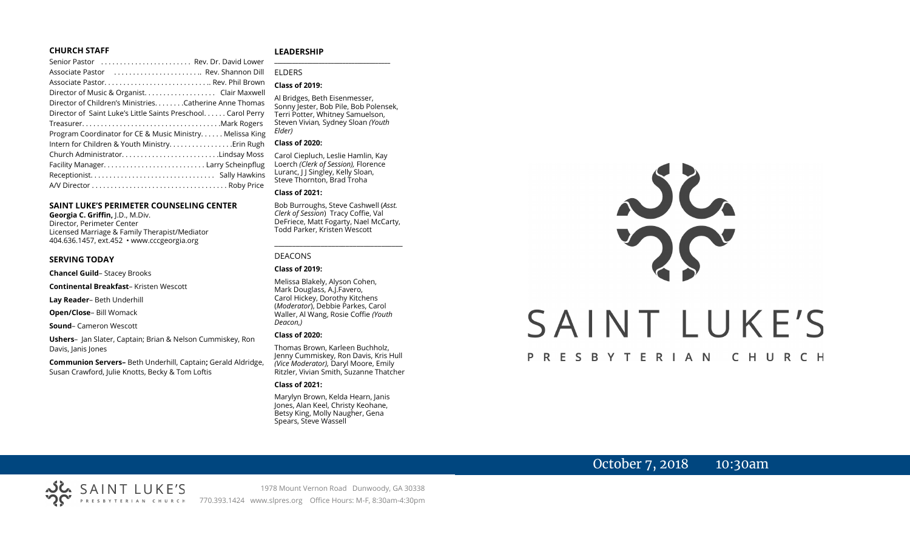#### **CHURCH STAFF**

#### Senior Pastor . . . . . . . . . . . . . . . . . . . . . . . . Rev. Dr. David Lower Associate Pastor . . . . . . . . . . . . . . . . . . . . . . .. Rev. Shannon Dill Associate Pastor. . . . . . . . . . . . . . . . . . . . . . . . . . . .. Rev. Phil Brown Director of Music & Organist. . . . . . . . . . . . . . . . . . . Clair Maxwell Director of Children's Ministries. . . . . . . .Catherine Anne Thomas Director of Saint Luke's Little Saints Preschool. . . . . . Carol Perry Treasurer. . . . . . . . . . . . . . . . . . . . . . . . . . . . . . . . . . . . .Mark Rogers Program Coordinator for CE & Music Ministry. . . . . . Melissa King Intern for Children & Youth Ministry. . . . . . . . . . . . . . . . .Erin Rugh Church Administrator. . . . . . . . . . . . . . . . . . . . . . . . . .Lindsay Moss Facility Manager. . . . . . . . . . . . . . . . . . . . . . . . . . . Larry Scheinpflug Receptionist. . . . . . . . . . . . . . . . . . . . . . . . . . . . . . . . . Sally Hawkins A/V Director . . . . . . . . . . . . . . . . . . . . . . . . . . . . . . . . . . . . Roby Price

#### **SAINT LUKE'S PERIMETER COUNSELING CENTER**

**Georgia C. Griffin,** J.D., M.Div. Director, Perimeter Center Licensed Marriage & Family Therapist/Mediator 404.636.1457, ext.452 • www.cccgeorgia.org

#### **SERVING TODAY**

**Chancel Guild**– Stacey Brooks

**Continental Breakfast**– Kristen Wescott

**Lay Reader**– Beth Underhill

**Open/Close**– Bill Womack

**Sound**– Cameron Wescott

**Ushers**–Jan Slater, Captain; Brian & Nelson Cummiskey, Ron Davis, Janis Jones

**Communion Servers–** Beth Underhill, Captain**;** Gerald Aldridge, Susan Crawford, Julie Knotts, Becky & Tom Loftis

#### **LEADERSHIP**

ELDERS

#### **Class of 2019:**

Al Bridges, Beth Eisenmesser, Sonny Jester, Bob Pile, Bob Polensek, Terri Potter, Whitney Samuelson, Steven Vivian*,* Sydney Sloan *(Youth Elder)*

**\_\_\_\_\_\_\_\_\_\_\_\_\_\_\_\_\_\_\_\_\_\_\_\_\_\_\_\_\_\_\_\_\_\_\_\_\_\_\_**

#### **Class of 2020:**

Carol Ciepluch, Leslie Hamlin, Kay Loerch *(Clerk of Session),* Florence Luranc, J J Singley, Kelly Sloan, Steve Thornton, Brad Troha

#### **Class of 2021:**

Bob Burroughs, Steve Cashwell (*Asst. Clerk of Session*) Tracy Coffie, Val DeFriece, Matt Fogarty, Nael McCarty, Todd Parker, Kristen Wescott

\_\_\_\_\_\_\_\_\_\_\_\_\_\_\_\_\_\_\_\_\_\_\_\_\_\_\_\_\_\_\_\_\_\_\_\_

#### DEACONS

**Class of 2019:**

Melissa Blakely, Alyson Cohen, Mark Douglass, A.J.Favero, Carol Hickey, Dorothy Kitchens (*Moderator*), Debbie Parkes, Carol Waller, Al Wang, Rosie Coffie *(Youth Deacon,)* 

#### **Class of 2020:**

Thomas Brown, Karleen Buchholz, Jenny Cummiskey, Ron Davis, Kris Hull *(Vice Moderator),* Daryl Moore, Emily Ritzler, Vivian Smith, Suzanne Thatcher

#### **Class of 2021:**

Marylyn Brown, Kelda Hearn, Janis Jones, Alan Keel, Christy Keohane, Betsy King, Molly Naugher, Gena Spears, Steve Wassell

# NG SAINT LUKE'S PRESBYTERIAN CHURCH

## October 7, 2018 10:30am

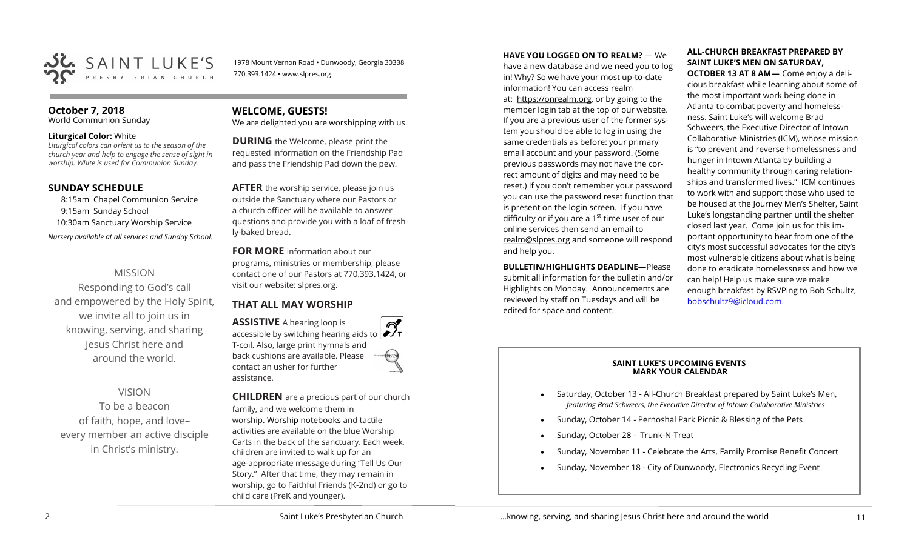

1978 Mount Vernon Road • Dunwoody, Georgia 30338 770.393.1424 • www.slpres.org

#### **October 7, 2018**

World Communion Sunday

#### **Liturgical Color:** White

*Liturgical colors can orient us to the season of the church year and help to engage the sense of sight in worship. White is used for Communion Sunday.*

#### **SUNDAY SCHEDULE**

8:15am Chapel Communion Service 9:15am Sunday School 10:30am Sanctuary Worship Service *Nursery available at all services and Sunday School.* 

#### MISSION

Responding to God's call and empowered by the Holy Spirit, we invite all to join us in knowing, serving, and sharing Jesus Christ here and around the world.

#### VISION

To be a beacon of faith, hope, and love– every member an active disciple in Christ's ministry.

#### **WELCOME, GUESTS!**

We are delighted you are worshipping with us.

**DURING** the Welcome, please print the requested information on the Friendship Pad and pass the Friendship Pad down the pew.

**AFTER** the worship service, please join us outside the Sanctuary where our Pastors or a church officer will be available to answer questions and provide you with a loaf of freshly-baked bread.

**FOR MORE** information about our programs, ministries or membership, please contact one of our Pastors at 770.393.1424, or visit our website: slpres.org.

#### **THAT ALL MAY WORSHIP**

**ASSISTIVE** A hearing loop is **ASSISTIVE** A hearing loop is accessible by switching hearing aids to  $\mathcal{D}_{I}$ T-coil. Also, large print hymnals and back cushions are available. Please contact an usher for further assistance.

**CHILDREN** are a precious part of our church family, and we welcome them in worship. Worship notebooks and tactile activities are available on the blue Worship Carts in the back of the sanctuary. Each week, children are invited to walk up for an age-appropriate message during "Tell Us Our Story." After that time, they may remain in worship, go to Faithful Friends (K-2nd) or go to child care (PreK and younger).

**HAVE YOU LOGGED ON TO REALM?** — We

have a new database and we need you to log in! Why? So we have your most up-to-date information! You can access realm at: [https://onrealm.org,](https://onrealm.org) or by going to the member login tab at the top of our website. If you are a previous user of the former system you should be able to log in using the same credentials as before: your primary email account and your password. (Some previous passwords may not have the correct amount of digits and may need to be reset.) If you don't remember your password you can use the password reset function that is present on the login screen. If you have difficulty or if you are a  $1<sup>st</sup>$  time user of our online services then send an email to [realm@slpres.org](mailto:realm@slpres.org) and someone will respond and help you.

**BULLETIN/HIGHLIGHTS DEADLINE—Please** submit all information for the bulletin and/or Highlights on Monday. Announcements are reviewed by staff on Tuesdays and will be edited for space and content.

#### **ALL-CHURCH BREAKFAST PREPARED BY SAINT LUKE'S MEN ON SATURDAY,**

**OCTOBER 13 AT 8 AM—** Come enjoy a delicious breakfast while learning about some of the most important work being done in Atlanta to combat poverty and homelessness. Saint Luke's will welcome Brad Schweers, the Executive Director of Intown Collaborative Ministries (ICM), whose mission is "to prevent and reverse homelessness and hunger in Intown Atlanta by building a healthy community through caring relationships and transformed lives." ICM continues to work with and support those who used to be housed at the Journey Men's Shelter, Saint Luke's longstanding partner until the shelter closed last year. Come join us for this important opportunity to hear from one of the city's most successful advocates for the city's most vulnerable citizens about what is being done to eradicate homelessness and how we can help! Help us make sure we make enough breakfast by RSVPing to Bob Schultz, [bobschultz9@icloud.com.](mailto:bobschultz9@icloud.com)

#### **SAINT LUKE'S UPCOMING EVENTS MARK YOUR CALENDAR**

- Saturday, October 13 All-Church Breakfast prepared by Saint Luke's Men, *featuring Brad Schweers, the Executive Director of Intown Collaborative Ministries*
- Sunday, October 14 Pernoshal Park Picnic & Blessing of the Pets
- Sunday, October 28 Trunk-N-Treat
- Sunday, November 11 Celebrate the Arts, Family Promise Benefit Concert
- Sunday, November 18 City of Dunwoody, Electronics Recycling Event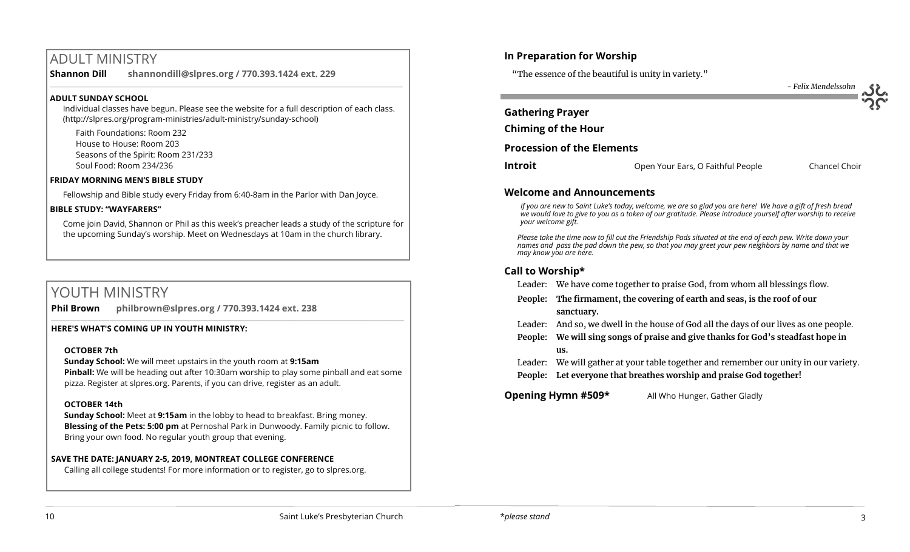# ADULT MINISTRY

**Shannon Dill shannondill@slpres.org / 770.393.1424 ext. 229**   $\_$  ,  $\_$  ,  $\_$  ,  $\_$  ,  $\_$  ,  $\_$  ,  $\_$  ,  $\_$  ,  $\_$  ,  $\_$  ,  $\_$  ,  $\_$  ,  $\_$  ,  $\_$  ,  $\_$  ,  $\_$  ,  $\_$  ,  $\_$  ,  $\_$  ,  $\_$ 

#### **ADULT SUNDAY SCHOOL**

Individual classes have begun. Please see the website for a full description of each class. (http://slpres.org/program-ministries/adult-ministry/sunday-school)

Faith Foundations: Room 232 House to House: Room 203 Seasons of the Spirit: Room 231/233 Soul Food: Room 234/236

#### **FRIDAY MORNING MEN'S BIBLE STUDY**

Fellowship and Bible study every Friday from 6:40-8am in the Parlor with Dan Joyce.

#### **BIBLE STUDY: "WAYFARERS"**

Come join David, Shannon or Phil as this week's preacher leads a study of the scripture for the upcoming Sunday's worship. Meet on Wednesdays at 10am in the church library.

# YOUTH MINISTRY

**Phil Brown philbrown@slpres.org / 770.393.1424 ext. 238**   $\_$  ,  $\_$  ,  $\_$  ,  $\_$  ,  $\_$  ,  $\_$  ,  $\_$  ,  $\_$  ,  $\_$  ,  $\_$  ,  $\_$  ,  $\_$  ,  $\_$  ,  $\_$  ,  $\_$  ,  $\_$  ,  $\_$  ,  $\_$  ,  $\_$ 

#### **HERE'S WHAT'S COMING UP IN YOUTH MINISTRY:**

#### **OCTOBER 7th**

**Sunday School:** We will meet upstairs in the youth room at **9:15am Pinball:** We will be heading out after 10:30am worship to play some pinball and eat some pizza. Register at slpres.org. Parents, if you can drive, register as an adult.

#### **OCTOBER 14th**

**Sunday School:** Meet at **9:15am** in the lobby to head to breakfast. Bring money. **Blessing of the Pets: 5:00 pm** at Pernoshal Park in Dunwoody. Family picnic to follow. Bring your own food. No regular youth group that evening.

#### **SAVE THE DATE: JANUARY 2-5, 2019, MONTREAT COLLEGE CONFERENCE**

Calling all college students! For more information or to register, go to slpres.org.

#### **In Preparation for Worship**

"The essence of the beautiful is unity in variety."



#### **Welcome and Announcements**

*If you are new to Saint Luke's today, welcome, we are so glad you are here! We have a gift of fresh bread we would love to give to you as a token of our gratitude. Please introduce yourself after worship to receive your welcome gift.*

*Please take the time now to fill out the Friendship Pads situated at the end of each pew. Write down your names and pass the pad down the pew, so that you may greet your pew neighbors by name and that we may know you are here.*

### **Call to Worship\***

| Leader: We have come together to praise God, from whom all blessings flow. |  |  |
|----------------------------------------------------------------------------|--|--|
|                                                                            |  |  |

- **People: The firmament, the covering of earth and seas, is the roof of our sanctuary.**
- Leader: And so, we dwell in the house of God all the days of our lives as one people.
- **People: We will sing songs of praise and give thanks for God's steadfast hope in us.**
- Leader: We will gather at your table together and remember our unity in our variety. **People: Let everyone that breathes worship and praise God together!**

**Opening Hymn #509\*** All Who Hunger, Gather Gladly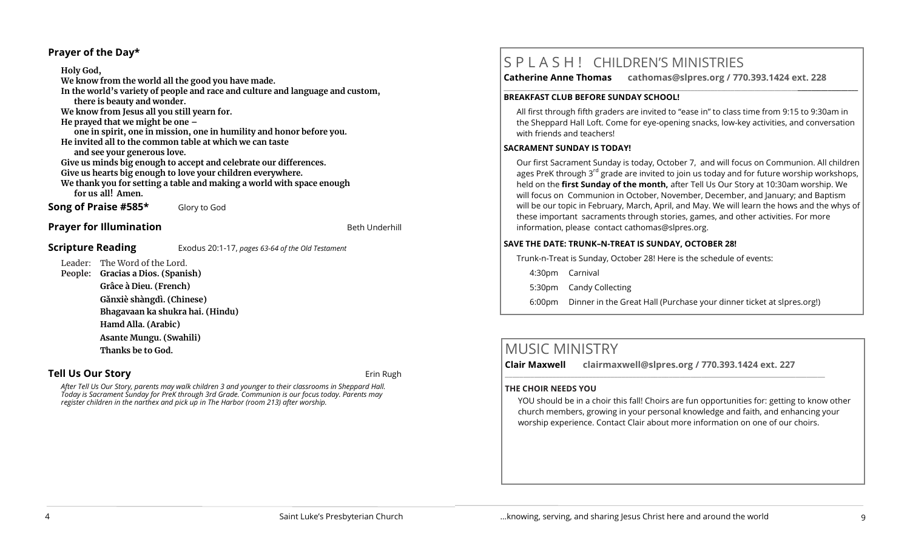#### **Prayer of the Day\***

**Holy God, We know from the world all the good you have made. In the world's variety of people and race and culture and language and custom, there is beauty and wonder. We know from Jesus all you still yearn for. He prayed that we might be one – one in spirit, one in mission, one in humility and honor before you. He invited all to the common table at which we can taste and see your generous love. Give us minds big enough to accept and celebrate our differences. Give us hearts big enough to love your children everywhere. We thank you for setting a table and making a world with space enough for us all! Amen.**

**Song of Praise #585\*** Glory to God

#### **Prayer for Illumination Beth Underhill Beth Underhill**

#### **Scripture Reading** Exodus 20:1-17, *pages 63-64 of the Old Testament*

Leader: The Word of the Lord. **People: Gracias a Dios. (Spanish) Grâce à Dieu. (French) Gǎnxiè shàngdì. (Chinese) Bhagavaan ka shukra hai. (Hindu) Hamd Alla. (Arabic)**

> **Asante Mungu. (Swahili) Thanks be to God.**

#### **Tell Us Our Story and Story and Story and Story and Story and Story and Story and Story and Story and Story and Story and Story and Story and Story and Story and Story and Story and Story and Story and Story and Story and**

*After Tell Us Our Story, parents may walk children 3 and younger to their classrooms in Sheppard Hall. Today is Sacrament Sunday for PreK through 3rd Grade. Communion is our focus today. Parents may register children in the narthex and pick up in The Harbor (room 213) after worship.* 

# S P L A S H ! CHILDREN'S MINISTRIES

**Catherine Anne Thomas cathomas@slpres.org / 770.393.1424 ext. 228 \_\_\_\_\_\_\_\_\_\_\_\_\_\_\_\_\_\_\_\_\_\_\_\_\_\_\_\_\_\_\_\_\_\_\_\_\_\_\_\_\_\_\_\_\_\_\_\_\_\_\_\_\_\_\_\_\_\_\_\_\_\_\_\_\_\_\_\_\_\_\_\_\_\_\_\_\_\_\_\_\_\_\_\_\_\_\_\_\_\_\_\_\_\_\_\_\_\_\_\_\_\_\_\_\_\_** 

#### **BREAKFAST CLUB BEFORE SUNDAY SCHOOL!**

All first through fifth graders are invited to "ease in" to class time from 9:15 to 9:30am in the Sheppard Hall Loft. Come for eye-opening snacks, low-key activities, and conversation with friends and teachers!

#### **SACRAMENT SUNDAY IS TODAY!**

Our first Sacrament Sunday is today, October 7, and will focus on Communion. All children ages PreK through  $3^{rd}$  grade are invited to join us today and for future worship workshops, held on the **first Sunday of the month,** after Tell Us Our Story at 10:30am worship. We will focus on Communion in October, November, December, and January; and Baptism will be our topic in February, March, April, and May. We will learn the hows and the whys of these important sacraments through stories, games, and other activities. For more information, please contact [cathomas@slpres.org.](mailto:cathomas@slpres.org)

#### **SAVE THE DATE: TRUNK–N-TREAT IS SUNDAY, OCTOBER 28!**

Trunk-n-Treat is Sunday, October 28! Here is the schedule of events:

4:30pm Carnival

5:30pm Candy Collecting

6:00pm Dinner in the Great Hall (Purchase your dinner ticket at slpres.org!)

# MUSIC MINISTRY

**Clair Maxwell clairmaxwell@slpres.org / 770.393.1424 ext. 227** 

 $\_$  ,  $\_$  ,  $\_$  ,  $\_$  ,  $\_$  ,  $\_$  ,  $\_$  ,  $\_$  ,  $\_$  ,  $\_$  ,  $\_$  ,  $\_$  ,  $\_$  ,  $\_$  ,  $\_$  ,  $\_$  ,  $\_$  ,  $\_$ 

#### **THE CHOIR NEEDS YOU**

YOU should be in a choir this fall! Choirs are fun opportunities for: getting to know other church members, growing in your personal knowledge and faith, and enhancing your worship experience. Contact Clair about more information on one of our choirs.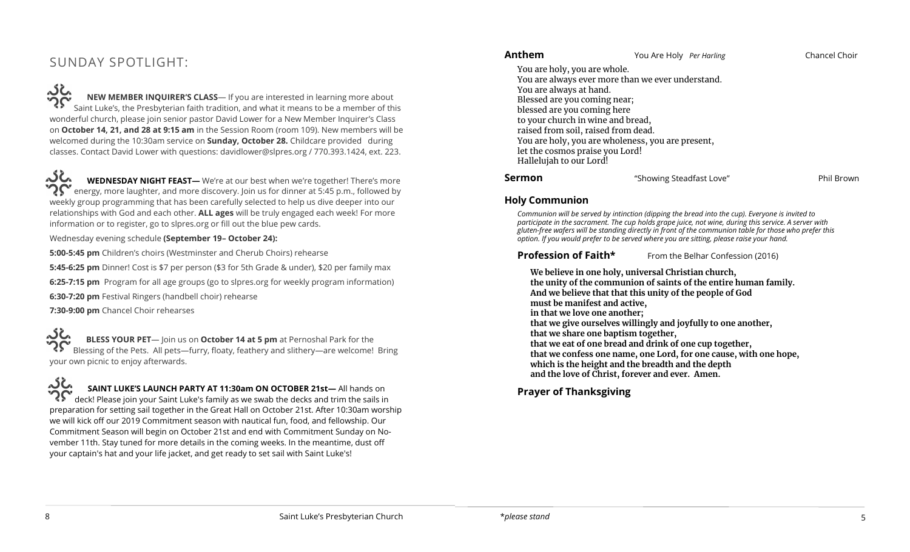# SUNDAY SPOTLIGHT:

<u>ာင်း</u> **NEW MEMBER INQUIRER'S CLASS**— If you are interested in learning more about Saint Luke's, the Presbyterian faith tradition, and what it means to be a member of this wonderful church, please join senior pastor David Lower for a New Member Inquirer's Class on **October 14, 21, and 28 at 9:15 am** in the Session Room (room 109). New members will be welcomed during the 10:30am service on **Sunday, October 28.** Childcare provided during classes. Contact David Lower with questions: davidlower@slpres.org / 770.393.1424, ext. 223.

ぶん **WEDNESDAY NIGHT FEAST—** We're at our best when we're together! There's more energy, more laughter, and more discovery. Join us for dinner at 5:45 p.m., followed by weekly group programming that has been carefully selected to help us dive deeper into our relationships with God and each other. **ALL ages** will be truly engaged each week! For more information or to register, go to slpres.org or fill out the blue pew cards.

Wednesday evening schedule **(September 19– October 24):**

**5:00-5:45 pm** Children's choirs (Westminster and Cherub Choirs) rehearse

**5:45-6:25 pm** Dinner! Cost is \$7 per person (\$3 for 5th Grade & under), \$20 per family max **6:25-7:15 pm** Program for all age groups (go to slpres.org for weekly program information)

**6:30-7:20 pm** Festival Ringers (handbell choir) rehearse

**7:30-9:00 pm** Chancel Choir rehearses

، خگہ **BLESS YOUR PET**— Join us on **October 14 at 5 pm** at Pernoshal Park for the Blessing of the Pets. All pets—furry, floaty, feathery and slithery—are welcome! Bring your own picnic to enjoy afterwards.

**SAINT LUKE'S LAUNCH PARTY AT 11:30am ON OCTOBER 21st—** All hands on  $\check{\phantom{\phi}}$  deck! Please join your Saint Luke's family as we swab the decks and trim the sails in preparation for setting sail together in the Great Hall on October 21st. After 10:30am worship we will kick off our 2019 Commitment season with nautical fun, food, and fellowship. Our Commitment Season will begin on October 21st and end with Commitment Sunday on November 11th. Stay tuned for more details in the coming weeks. In the meantime, dust off your captain's hat and your life jacket, and get ready to set sail with Saint Luke's!

You are holy, you are whole. You are always ever more than we ever understand. You are always at hand. Blessed are you coming near; blessed are you coming here to your church in wine and bread, raised from soil, raised from dead. You are holy, you are wholeness, you are present, let the cosmos praise you Lord! Hallelujah to our Lord!

**Sermon** "Showing Steadfast Love" **Phil Brown** 

#### **Holy Communion**

*Communion will be served by intinction (dipping the bread into the cup). Everyone is invited to participate in the sacrament. The cup holds grape juice, not wine, during this service. A server with gluten-free wafers will be standing directly in front of the communion table for those who prefer this option. If you would prefer to be served where you are sitting, please raise your hand.*

#### **Profession of Faith\*** From the Belhar Confession (2016)

**We believe in one holy, universal Christian church, the unity of the communion of saints of the entire human family. And we believe that that this unity of the people of God must be manifest and active, in that we love one another; that we give ourselves willingly and joyfully to one another, that we share one baptism together, that we eat of one bread and drink of one cup together, that we confess one name, one Lord, for one cause, with one hope, which is the height and the breadth and the depth and the love of Christ, forever and ever. Amen.**

**Prayer of Thanksgiving**